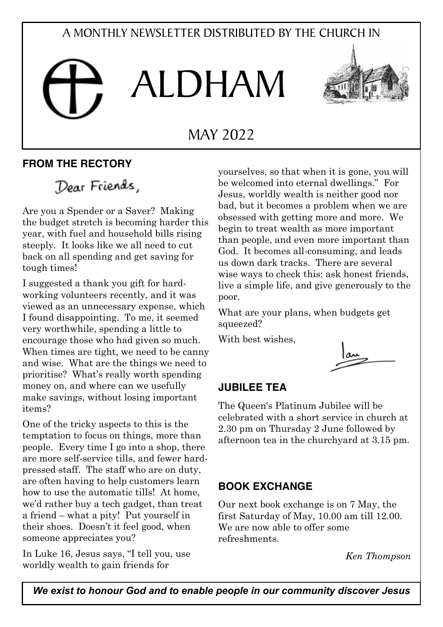# A MONTHLY NEWSLETTER DISTRIBUTED BY THE CHURCH IN

# ALDHAM



# MAY 2022

# **FROM THE RECTORY**

# Dear Friends,

Are you a Spender or a Saver? Making the budget stretch is becoming harder this year, with fuel and household bills rising steeply. It looks like we all need to cut back on all spending and get saving for tough times!

I suggested a thank you gift for hardworking volunteers recently, and it was viewed as an unnecessary expense, which I found disappointing. To me, it seemed very worthwhile, spending a little to encourage those who had given so much. When times are tight, we need to be canny and wise. What are the things we need to prioritise? What's really worth spending money on, and where can we usefully make savings, without losing important items?

One of the tricky aspects to this is the temptation to focus on things, more than people. Every time I go into a shop, there are more self-service tills, and fewer hardpressed staff. The staff who are on duty, are often having to help customers learn how to use the automatic tills! At home, we'd rather buy a tech gadget, than treat a friend – what a pity! Put yourself in their shoes. Doesn't it feel good, when someone appreciates you?

In Luke 16, Jesus says, "I tell you, use worldly wealth to gain friends for

yourselves, so that when it is gone, you will be welcomed into eternal dwellings." For Jesus, worldly wealth is neither good nor bad, but it becomes a problem when we are obsessed with getting more and more. We begin to treat wealth as more important than people, and even more important than God. It becomes all-consuming, and leads us down dark tracks. There are several wise ways to check this: ask honest friends, live a simple life, and give generously to the poor.

What are your plans, when budgets get squeezed?

With best wishes,



#### **JUBILEE TEA**

The Queen's Platinum Jubilee will be celebrated with a short service in church at 2.30 pm on Thursday 2 June followed by afternoon tea in the churchyard at 3.15 pm.

#### **BOOK EXCHANGE**

Our next book exchange is on 7 May, the first Saturday of May, 10.00 am till 12.00. We are now able to offer some refreshments.

*Ken Thompson*

*We exist to honour God and to enable people in our community discover Jesus*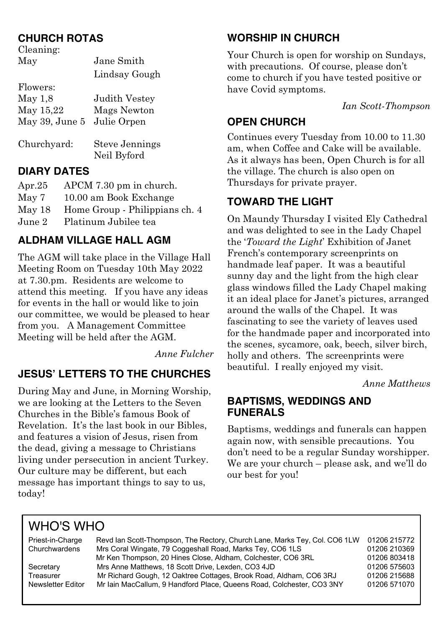## **CHURCH ROTAS**

| Cleaning:      |                       |  |
|----------------|-----------------------|--|
| May            | Jane Smith            |  |
|                | Lindsay Gough         |  |
| Flowers:       |                       |  |
| May 1,8        | Judith Vestey         |  |
| May 15,22      | Mags Newton           |  |
| May 39, June 5 | Julie Orpen           |  |
| Churchyard:    | <b>Steve Jennings</b> |  |
|                | Neil Byford           |  |

#### **DIARY DATES**

| Apr. $25$ | APCM 7.30 pm in church.        |
|-----------|--------------------------------|
| May 7     | 10.00 am Book Exchange         |
| May 18    | Home Group - Philippians ch. 4 |
| June 2    | Platinum Jubilee tea           |

# **ALDHAM VILLAGE HALL AGM**

The AGM will take place in the Village Hall Meeting Room on Tuesday 10th May 2022 at 7.30.pm. Residents are welcome to attend this meeting. If you have any ideas for events in the hall or would like to join our committee, we would be pleased to hear from you. A Management Committee Meeting will be held after the AGM.

*Anne Fulcher*

## **JESUS' LETTERS TO THE CHURCHES**

During May and June, in Morning Worship, we are looking at the Letters to the Seven Churches in the Bible's famous Book of Revelation. It's the last book in our Bibles, and features a vision of Jesus, risen from the dead, giving a message to Christians living under persecution in ancient Turkey. Our culture may be different, but each message has important things to say to us, today!

## **WORSHIP IN CHURCH**

Your Church is open for worship on Sundays, with precautions. Of course, please don't come to church if you have tested positive or have Covid symptoms.

*Ian Scott-Thompson*

#### **OPEN CHURCH**

Continues every Tuesday from 10.00 to 11.30 am, when Coffee and Cake will be available. As it always has been, Open Church is for all the village. The church is also open on Thursdays for private prayer.

## **TOWARD THE LIGHT**

On Maundy Thursday I visited Ely Cathedral and was delighted to see in the Lady Chapel the '*Toward the Light*' Exhibition of Janet French's contemporary screenprints on handmade leaf paper. It was a beautiful sunny day and the light from the high clear glass windows filled the Lady Chapel making it an ideal place for Janet's pictures, arranged around the walls of the Chapel. It was fascinating to see the variety of leaves used for the handmade paper and incorporated into the scenes, sycamore, oak, beech, silver birch, holly and others. The screenprints were beautiful. I really enjoyed my visit.

*Anne Matthews*

#### **BAPTISMS, WEDDINGS AND FUNERALS**

Baptisms, weddings and funerals can happen again now, with sensible precautions. You don't need to be a regular Sunday worshipper. We are your church – please ask, and we'll do our best for you!

# WHO'S WHO

| Priest-in-Charge  | Revd Ian Scott-Thompson, The Rectory, Church Lane, Marks Tey, Col. CO6 1LW | 01206 215772 |
|-------------------|----------------------------------------------------------------------------|--------------|
| Churchwardens     | Mrs Coral Wingate, 79 Coggeshall Road, Marks Tey, CO6 1LS                  | 01206 210369 |
|                   | Mr Ken Thompson, 20 Hines Close, Aldham, Colchester, CO6 3RL               | 01206 803418 |
| Secretary         | Mrs Anne Matthews, 18 Scott Drive, Lexden, CO3 4JD                         | 01206 575603 |
| Treasurer         | Mr Richard Gough, 12 Oaktree Cottages, Brook Road, Aldham, CO6 3RJ         | 01206 215688 |
| Newsletter Editor | Mr Iain MacCallum, 9 Handford Place, Queens Road, Colchester, CO3 3NY      | 01206 571070 |
|                   |                                                                            |              |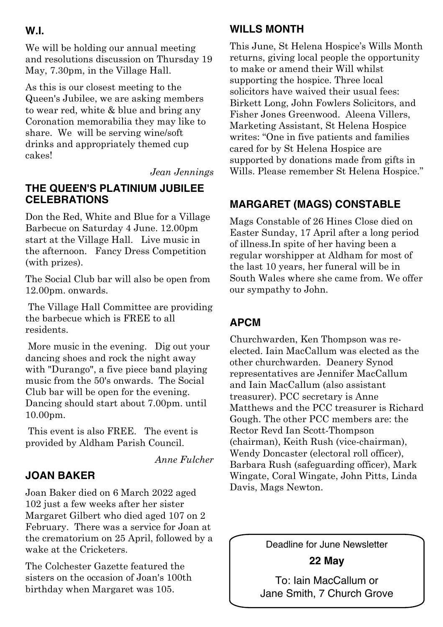#### **W.I.**

We will be holding our annual meeting and resolutions discussion on Thursday 19 May, 7.30pm, in the Village Hall.

As this is our closest meeting to the Queen's Jubilee, we are asking members to wear red, white & blue and bring any Coronation memorabilia they may like to share. We will be serving wine/soft drinks and appropriately themed cup cakes!

*Jean Jennings*

#### **THE QUEEN'S PLATINIUM JUBILEE CELEBRATIONS**

Don the Red, White and Blue for a Village Barbecue on Saturday 4 June. 12.00pm start at the Village Hall. Live music in the afternoon. Fancy Dress Competition (with prizes).

The Social Club bar will also be open from 12.00pm. onwards.

The Village Hall Committee are providing the barbecue which is FREE to all residents.

More music in the evening. Dig out your dancing shoes and rock the night away with "Durango", a five piece band playing music from the 50's onwards. The Social Club bar will be open for the evening. Dancing should start about 7.00pm. until 10.00pm.

This event is also FREE. The event is provided by Aldham Parish Council.

*Anne Fulcher*

## **JOAN BAKER**

Joan Baker died on 6 March 2022 aged 102 just a few weeks after her sister Margaret Gilbert who died aged 107 on 2 February. There was a service for Joan at the crematorium on 25 April, followed by a wake at the Cricketers.

The Colchester Gazette featured the sisters on the occasion of Joan's 100th birthday when Margaret was 105.

## **WILLS MONTH**

This June, St Helena Hospice's Wills Month returns, giving local people the opportunity to make or amend their Will whilst supporting the hospice. Three local solicitors have waived their usual fees: Birkett Long, John Fowlers Solicitors, and Fisher Jones Greenwood. Aleena Villers, Marketing Assistant, St Helena Hospice writes: "One in five patients and families cared for by St Helena Hospice are supported by donations made from gifts in Wills. Please remember St Helena Hospice."

# **MARGARET (MAGS) CONSTABLE**

Mags Constable of 26 Hines Close died on Easter Sunday, 17 April after a long period of illness.In spite of her having been a regular worshipper at Aldham for most of the last 10 years, her funeral will be in South Wales where she came from. We offer our sympathy to John.

# **APCM**

Churchwarden, Ken Thompson was reelected. Iain MacCallum was elected as the other churchwarden. Deanery Synod representatives are Jennifer MacCallum and Iain MacCallum (also assistant treasurer). PCC secretary is Anne Matthews and the PCC treasurer is Richard Gough. The other PCC members are: the Rector Revd Ian Scott-Thompson (chairman), Keith Rush (vice-chairman), Wendy Doncaster (electoral roll officer), Barbara Rush (safeguarding officer), Mark Wingate, Coral Wingate, John Pitts, Linda Davis, Mags Newton.

Deadline for June Newsletter

**22 May**

To: Iain MacCallum or Jane Smith, 7 Church Grove